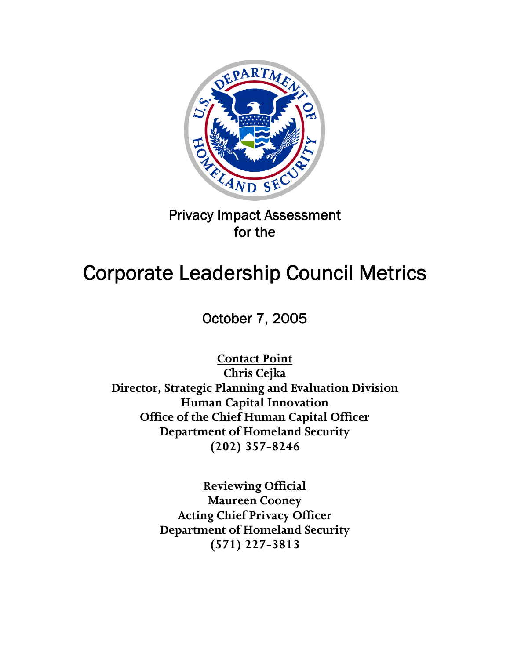

Privacy Impact Assessment for the

# Corporate Leadership Council Metrics

October 7, 2005

**Contact Point Chris Cejka Director, Strategic Planning and Evaluation Division Human Capital Innovation Office of the Chief Human Capital Officer Department of Homeland Security (202) 357-8246** 

> **Reviewing Official Maureen Cooney Acting Chief Privacy Officer Department of Homeland Security (571) 227-3813**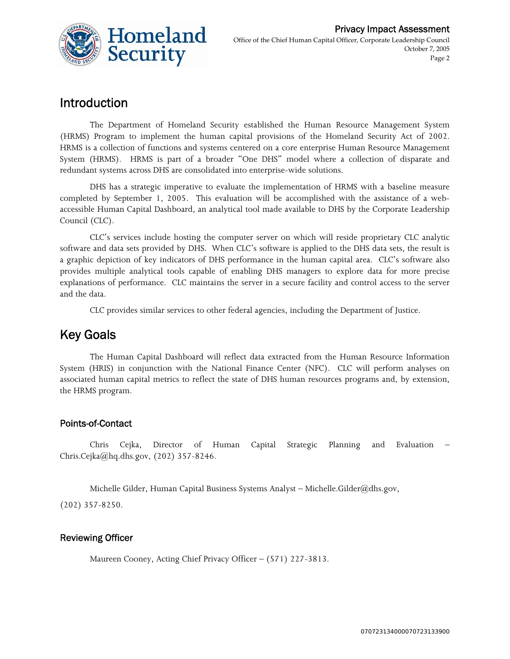

## Introduction

The Department of Homeland Security established the Human Resource Management System (HRMS) Program to implement the human capital provisions of the Homeland Security Act of 2002. HRMS is a collection of functions and systems centered on a core enterprise Human Resource Management System (HRMS). HRMS is part of a broader "One DHS" model where a collection of disparate and redundant systems across DHS are consolidated into enterprise-wide solutions.

DHS has a strategic imperative to evaluate the implementation of HRMS with a baseline measure completed by September 1, 2005. This evaluation will be accomplished with the assistance of a webaccessible Human Capital Dashboard, an analytical tool made available to DHS by the Corporate Leadership Council (CLC).

CLC's services include hosting the computer server on which will reside proprietary CLC analytic software and data sets provided by DHS. When CLC's software is applied to the DHS data sets, the result is a graphic depiction of key indicators of DHS performance in the human capital area. CLC's software also provides multiple analytical tools capable of enabling DHS managers to explore data for more precise explanations of performance. CLC maintains the server in a secure facility and control access to the server and the data.

CLC provides similar services to other federal agencies, including the Department of Justice.

### Key Goals

The Human Capital Dashboard will reflect data extracted from the Human Resource Information System (HRIS) in conjunction with the National Finance Center (NFC). CLC will perform analyses on associated human capital metrics to reflect the state of DHS human resources programs and, by extension, the HRMS program.

#### Points-of-Contact

Chris Cejka, Director of Human Capital Strategic Planning and Evaluation – Chris.Cejka@hq.dhs.gov, (202) 357-8246.

Michelle Gilder, Human Capital Business Systems Analyst – Michelle.Gilder@dhs.gov,

(202) 357-8250.

#### Reviewing Officer

Maureen Cooney, Acting Chief Privacy Officer – (571) 227-3813.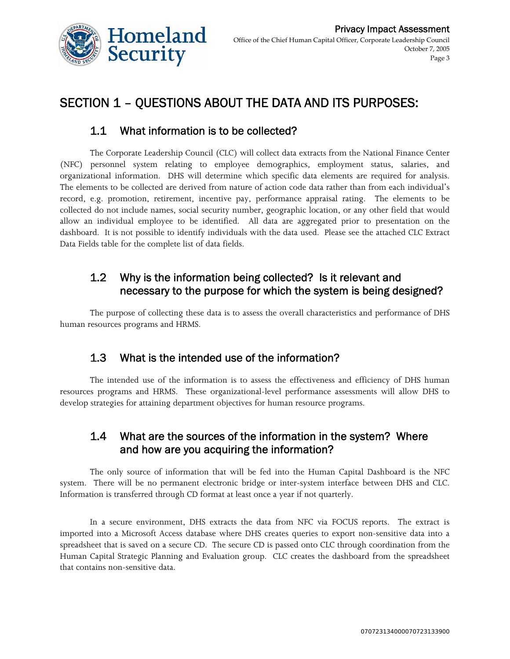

# SECTION 1 – QUESTIONS ABOUT THE DATA AND ITS PURPOSES:

#### 1.1 What information is to be collected?

The Corporate Leadership Council (CLC) will collect data extracts from the National Finance Center (NFC) personnel system relating to employee demographics, employment status, salaries, and organizational information. DHS will determine which specific data elements are required for analysis. The elements to be collected are derived from nature of action code data rather than from each individual's record, e.g. promotion, retirement, incentive pay, performance appraisal rating. The elements to be collected do not include names, social security number, geographic location, or any other field that would allow an individual employee to be identified. All data are aggregated prior to presentation on the dashboard. It is not possible to identify individuals with the data used. Please see the attached CLC Extract Data Fields table for the complete list of data fields.

#### 1.2 Why is the information being collected? Is it relevant and necessary to the purpose for which the system is being designed?

The purpose of collecting these data is to assess the overall characteristics and performance of DHS human resources programs and HRMS.

#### 1.3 What is the intended use of the information?

The intended use of the information is to assess the effectiveness and efficiency of DHS human resources programs and HRMS. These organizational-level performance assessments will allow DHS to develop strategies for attaining department objectives for human resource programs.

#### 1.4 What are the sources of the information in the system? Where and how are you acquiring the information?

The only source of information that will be fed into the Human Capital Dashboard is the NFC system. There will be no permanent electronic bridge or inter-system interface between DHS and CLC. Information is transferred through CD format at least once a year if not quarterly.

In a secure environment, DHS extracts the data from NFC via FOCUS reports. The extract is imported into a Microsoft Access database where DHS creates queries to export non-sensitive data into a spreadsheet that is saved on a secure CD. The secure CD is passed onto CLC through coordination from the Human Capital Strategic Planning and Evaluation group. CLC creates the dashboard from the spreadsheet that contains non-sensitive data.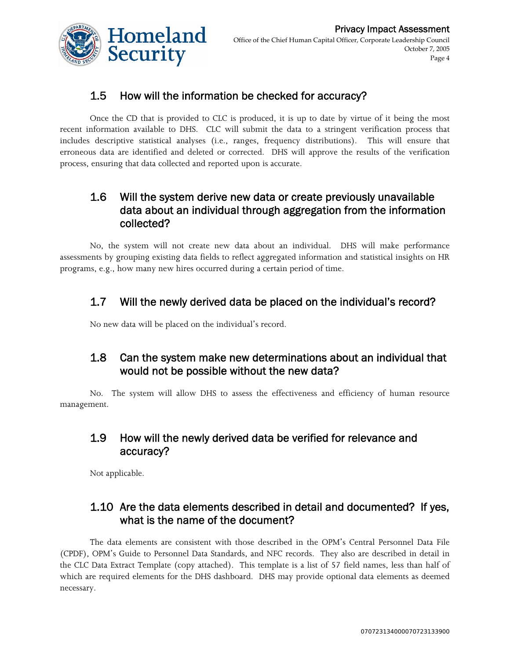

#### 1.5 How will the information be checked for accuracy?

Once the CD that is provided to CLC is produced, it is up to date by virtue of it being the most recent information available to DHS. CLC will submit the data to a stringent verification process that includes descriptive statistical analyses (i.e., ranges, frequency distributions). This will ensure that erroneous data are identified and deleted or corrected. DHS will approve the results of the verification process, ensuring that data collected and reported upon is accurate.

#### 1.6 Will the system derive new data or create previously unavailable data about an individual through aggregation from the information collected?

No, the system will not create new data about an individual. DHS will make performance assessments by grouping existing data fields to reflect aggregated information and statistical insights on HR programs, e.g., how many new hires occurred during a certain period of time.

#### 1.7 Will the newly derived data be placed on the individual's record?

No new data will be placed on the individual's record.

#### 1.8 Can the system make new determinations about an individual that would not be possible without the new data?

No. The system will allow DHS to assess the effectiveness and efficiency of human resource management.

#### 1.9 How will the newly derived data be verified for relevance and accuracy?

Not applicable.

#### 1.10 Are the data elements described in detail and documented? If yes, what is the name of the document?

The data elements are consistent with those described in the OPM's Central Personnel Data File (CPDF), OPM's Guide to Personnel Data Standards, and NFC records. They also are described in detail in the CLC Data Extract Template (copy attached). This template is a list of 57 field names, less than half of which are required elements for the DHS dashboard. DHS may provide optional data elements as deemed necessary.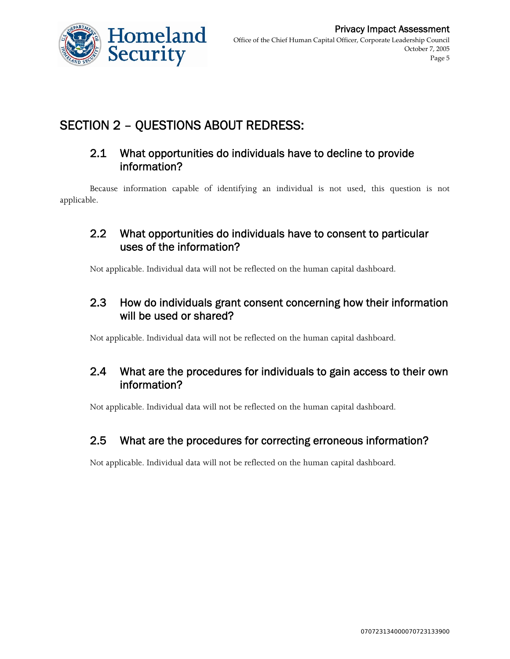

## SECTION 2 – QUESTIONS ABOUT REDRESS:

#### 2.1 What opportunities do individuals have to decline to provide information?

Because information capable of identifying an individual is not used, this question is not applicable.

#### 2.2 What opportunities do individuals have to consent to particular uses of the information?

Not applicable. Individual data will not be reflected on the human capital dashboard.

#### 2.3 How do individuals grant consent concerning how their information will be used or shared?

Not applicable. Individual data will not be reflected on the human capital dashboard.

#### 2.4 What are the procedures for individuals to gain access to their own information?

Not applicable. Individual data will not be reflected on the human capital dashboard.

#### 2.5 What are the procedures for correcting erroneous information?

Not applicable. Individual data will not be reflected on the human capital dashboard.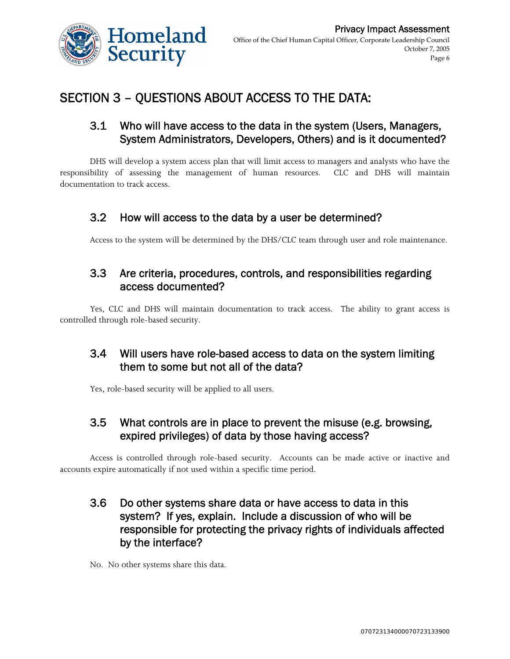

# SECTION 3 – QUESTIONS ABOUT ACCESS TO THE DATA:

#### 3.1 Who will have access to the data in the system (Users, Managers, System Administrators, Developers, Others) and is it documented?

DHS will develop a system access plan that will limit access to managers and analysts who have the responsibility of assessing the management of human resources. CLC and DHS will maintain documentation to track access.

#### 3.2 How will access to the data by a user be determined?

Access to the system will be determined by the DHS/CLC team through user and role maintenance.

#### 3.3 Are criteria, procedures, controls, and responsibilities regarding access documented?

Yes, CLC and DHS will maintain documentation to track access. The ability to grant access is controlled through role-based security.

#### 3.4 Will users have role-based access to data on the system limiting them to some but not all of the data?

Yes, role-based security will be applied to all users.

#### 3.5 What controls are in place to prevent the misuse (e.g. browsing, expired privileges) of data by those having access?

Access is controlled through role-based security. Accounts can be made active or inactive and accounts expire automatically if not used within a specific time period.

#### 3.6 Do other systems share data or have access to data in this system? If yes, explain. Include a discussion of who will be responsible for protecting the privacy rights of individuals affected by the interface?

No. No other systems share this data.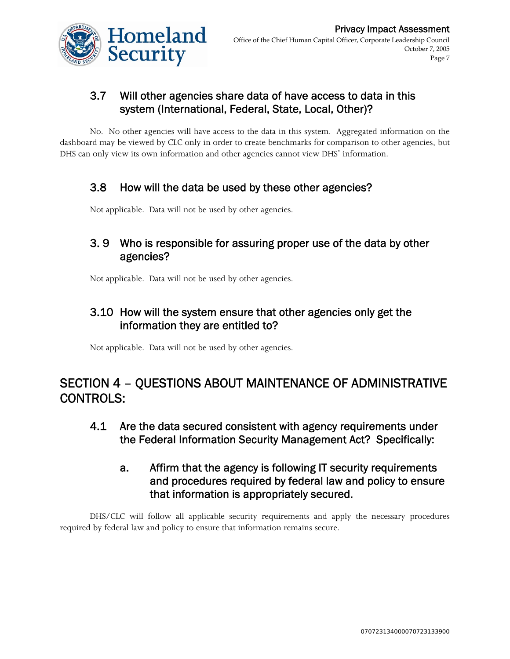

#### 3.7 Will other agencies share data of have access to data in this system (International, Federal, State, Local, Other)?

No. No other agencies will have access to the data in this system. Aggregated information on the dashboard may be viewed by CLC only in order to create benchmarks for comparison to other agencies, but DHS can only view its own information and other agencies cannot view DHS' information.

#### 3.8 How will the data be used by these other agencies?

Not applicable. Data will not be used by other agencies.

#### 3. 9 Who is responsible for assuring proper use of the data by other agencies?

Not applicable. Data will not be used by other agencies.

#### 3.10 How will the system ensure that other agencies only get the information they are entitled to?

Not applicable. Data will not be used by other agencies.

## SECTION 4 – QUESTIONS ABOUT MAINTENANCE OF ADMINISTRATIVE CONTROLS:

- 4.1 Are the data secured consistent with agency requirements under the Federal Information Security Management Act? Specifically:
	- a. Affirm that the agency is following IT security requirements and procedures required by federal law and policy to ensure that information is appropriately secured.

DHS/CLC will follow all applicable security requirements and apply the necessary procedures required by federal law and policy to ensure that information remains secure.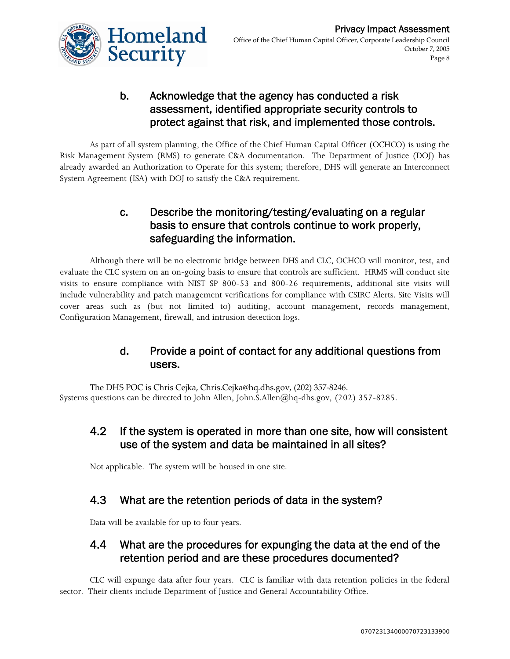

#### b. Acknowledge that the agency has conducted a risk assessment, identified appropriate security controls to protect against that risk, and implemented those controls.

As part of all system planning, the Office of the Chief Human Capital Officer (OCHCO) is using the Risk Management System (RMS) to generate C&A documentation. The Department of Justice (DOJ) has already awarded an Authorization to Operate for this system; therefore, DHS will generate an Interconnect System Agreement (ISA) with DOJ to satisfy the C&A requirement.

#### c. Describe the monitoring/testing/evaluating on a regular basis to ensure that controls continue to work properly, safeguarding the information.

Although there will be no electronic bridge between DHS and CLC, OCHCO will monitor, test, and evaluate the CLC system on an on-going basis to ensure that controls are sufficient. HRMS will conduct site visits to ensure compliance with NIST SP 800-53 and 800-26 requirements, additional site visits will include vulnerability and patch management verifications for compliance with CSIRC Alerts. Site Visits will cover areas such as (but not limited to) auditing, account management, records management, Configuration Management, firewall, and intrusion detection logs.

#### d. Provide a point of contact for any additional questions from users.

The DHS POC is Chris Cejka, Chris.Cejka@hq.dhs.gov, (202) 357‐8246. Systems questions can be directed to John Allen, John.S.Allen@hq-dhs.gov, (202) 357-8285.

#### 4.2 If the system is operated in more than one site, how will consistent use of the system and data be maintained in all sites?

Not applicable. The system will be housed in one site.

#### 4.3 What are the retention periods of data in the system?

Data will be available for up to four years.

#### 4.4 What are the procedures for expunging the data at the end of the retention period and are these procedures documented?

CLC will expunge data after four years. CLC is familiar with data retention policies in the federal sector. Their clients include Department of Justice and General Accountability Office.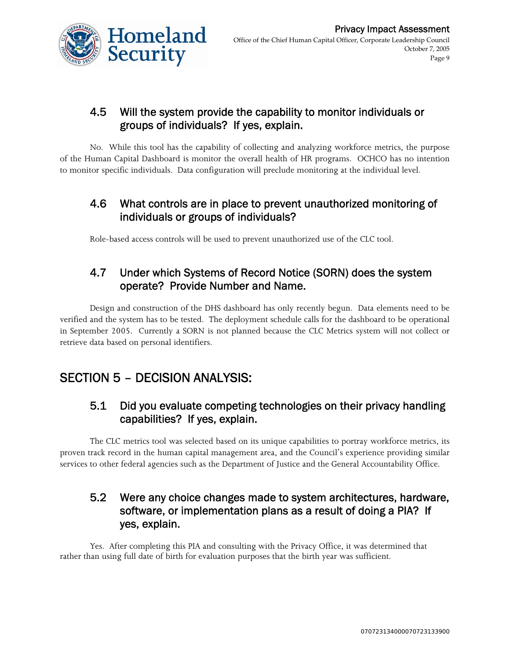

#### 4.5 Will the system provide the capability to monitor individuals or groups of individuals? If yes, explain.

No. While this tool has the capability of collecting and analyzing workforce metrics, the purpose of the Human Capital Dashboard is monitor the overall health of HR programs. OCHCO has no intention to monitor specific individuals. Data configuration will preclude monitoring at the individual level.

#### 4.6 What controls are in place to prevent unauthorized monitoring of individuals or groups of individuals?

Role-based access controls will be used to prevent unauthorized use of the CLC tool.

#### 4.7 Under which Systems of Record Notice (SORN) does the system operate? Provide Number and Name.

Design and construction of the DHS dashboard has only recently begun. Data elements need to be verified and the system has to be tested. The deployment schedule calls for the dashboard to be operational in September 2005. Currently a SORN is not planned because the CLC Metrics system will not collect or retrieve data based on personal identifiers.

## SECTION 5 – DECISION ANALYSIS:

#### 5.1 Did you evaluate competing technologies on their privacy handling capabilities? If yes, explain.

The CLC metrics tool was selected based on its unique capabilities to portray workforce metrics, its proven track record in the human capital management area, and the Council's experience providing similar services to other federal agencies such as the Department of Justice and the General Accountability Office.

#### 5.2 Were any choice changes made to system architectures, hardware, software, or implementation plans as a result of doing a PIA? If yes, explain.

Yes. After completing this PIA and consulting with the Privacy Office, it was determined that rather than using full date of birth for evaluation purposes that the birth year was sufficient.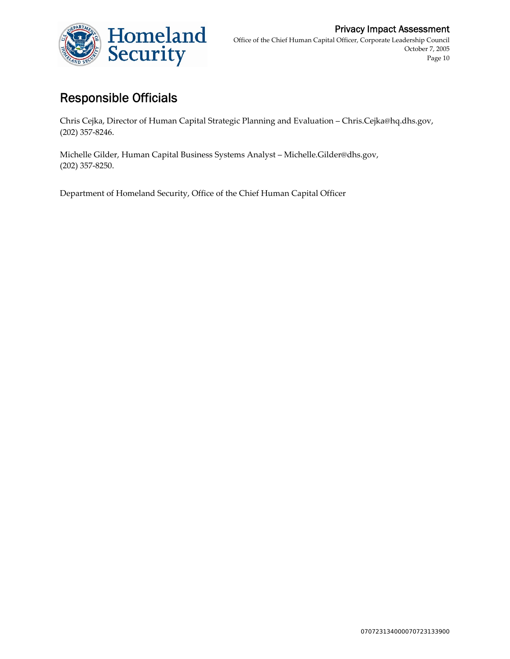

## Responsible Officials

Chris Cejka, Director of Human Capital Strategic Planning and Evaluation – Chris.Cejka@hq.dhs.gov, (202) 357‐8246.

Michelle Gilder, Human Capital Business Systems Analyst – Michelle.Gilder@dhs.gov, (202) 357‐8250.

Department of Homeland Security, Office of the Chief Human Capital Officer